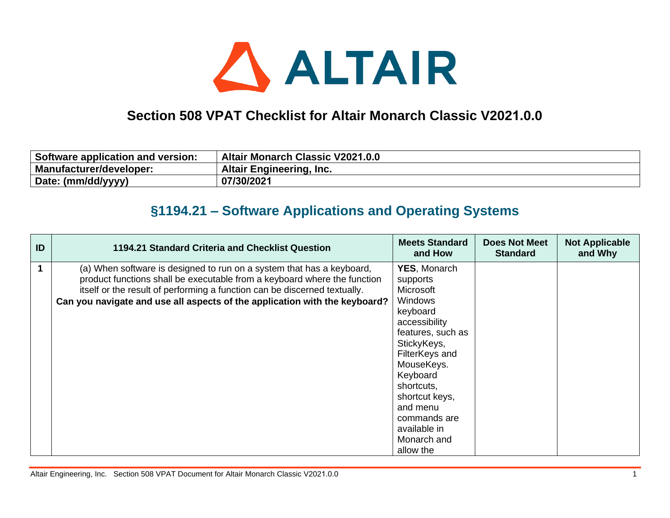

## **Section 508 VPAT Checklist for Altair Monarch Classic V2021.0.0**

| Software application and version: | <b>Altair Monarch Classic V2021.0.0</b> |
|-----------------------------------|-----------------------------------------|
| Manufacturer/developer:           | <b>Altair Engineering, Inc.</b>         |
| Date: (mm/dd/yyyy)                | 07/30/2021                              |

## **§1194.21 – Software Applications and Operating Systems**

| ID | 1194.21 Standard Criteria and Checklist Question                                                                                                                                                                                                                                                             | <b>Meets Standard</b><br>and How                                                                                                                                | <b>Does Not Meet</b><br><b>Standard</b> | <b>Not Applicable</b><br>and Why |
|----|--------------------------------------------------------------------------------------------------------------------------------------------------------------------------------------------------------------------------------------------------------------------------------------------------------------|-----------------------------------------------------------------------------------------------------------------------------------------------------------------|-----------------------------------------|----------------------------------|
|    | (a) When software is designed to run on a system that has a keyboard,<br>product functions shall be executable from a keyboard where the function<br>itself or the result of performing a function can be discerned textually.<br>Can you navigate and use all aspects of the application with the keyboard? | <b>YES, Monarch</b><br>supports<br>Microsoft<br><b>Windows</b><br>keyboard<br>accessibility<br>features, such as<br>StickyKeys,<br>FilterKeys and<br>MouseKeys. |                                         |                                  |
|    |                                                                                                                                                                                                                                                                                                              | Keyboard<br>shortcuts,<br>shortcut keys,<br>and menu<br>commands are<br>available in<br>Monarch and<br>allow the                                                |                                         |                                  |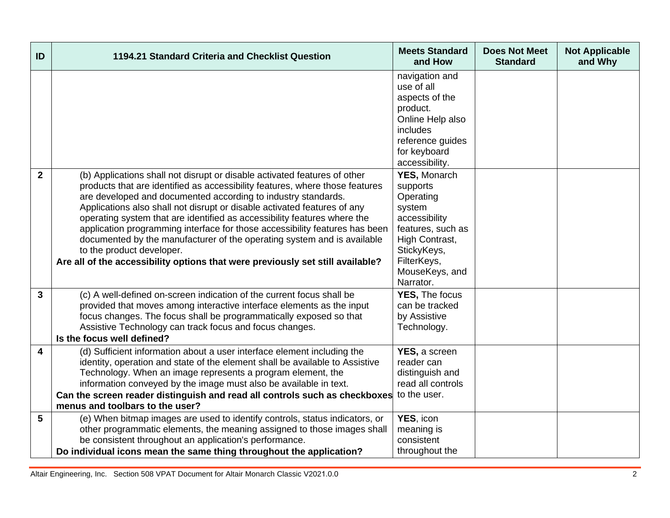| ID           | 1194.21 Standard Criteria and Checklist Question                                                                                                                                                                                                                                                                                                                                                                                                                                                                                                                                                                                                            | <b>Meets Standard</b><br>and How                                                                                                                                            | <b>Does Not Meet</b><br><b>Standard</b> | <b>Not Applicable</b><br>and Why |
|--------------|-------------------------------------------------------------------------------------------------------------------------------------------------------------------------------------------------------------------------------------------------------------------------------------------------------------------------------------------------------------------------------------------------------------------------------------------------------------------------------------------------------------------------------------------------------------------------------------------------------------------------------------------------------------|-----------------------------------------------------------------------------------------------------------------------------------------------------------------------------|-----------------------------------------|----------------------------------|
|              |                                                                                                                                                                                                                                                                                                                                                                                                                                                                                                                                                                                                                                                             | navigation and<br>use of all<br>aspects of the<br>product.<br>Online Help also<br>includes<br>reference guides<br>for keyboard<br>accessibility.                            |                                         |                                  |
| $\mathbf{2}$ | (b) Applications shall not disrupt or disable activated features of other<br>products that are identified as accessibility features, where those features<br>are developed and documented according to industry standards.<br>Applications also shall not disrupt or disable activated features of any<br>operating system that are identified as accessibility features where the<br>application programming interface for those accessibility features has been<br>documented by the manufacturer of the operating system and is available<br>to the product developer.<br>Are all of the accessibility options that were previously set still available? | <b>YES, Monarch</b><br>supports<br>Operating<br>system<br>accessibility<br>features, such as<br>High Contrast,<br>StickyKeys,<br>FilterKeys,<br>MouseKeys, and<br>Narrator. |                                         |                                  |
| $\mathbf{3}$ | (c) A well-defined on-screen indication of the current focus shall be<br>provided that moves among interactive interface elements as the input<br>focus changes. The focus shall be programmatically exposed so that<br>Assistive Technology can track focus and focus changes.<br>Is the focus well defined?                                                                                                                                                                                                                                                                                                                                               | YES, The focus<br>can be tracked<br>by Assistive<br>Technology.                                                                                                             |                                         |                                  |
| 4            | (d) Sufficient information about a user interface element including the<br>identity, operation and state of the element shall be available to Assistive<br>Technology. When an image represents a program element, the<br>information conveyed by the image must also be available in text.<br>Can the screen reader distinguish and read all controls such as checkboxes<br>menus and toolbars to the user?                                                                                                                                                                                                                                                | YES, a screen<br>reader can<br>distinguish and<br>read all controls<br>to the user.                                                                                         |                                         |                                  |
| 5            | (e) When bitmap images are used to identify controls, status indicators, or<br>other programmatic elements, the meaning assigned to those images shall<br>be consistent throughout an application's performance.<br>Do individual icons mean the same thing throughout the application?                                                                                                                                                                                                                                                                                                                                                                     | YES, icon<br>meaning is<br>consistent<br>throughout the                                                                                                                     |                                         |                                  |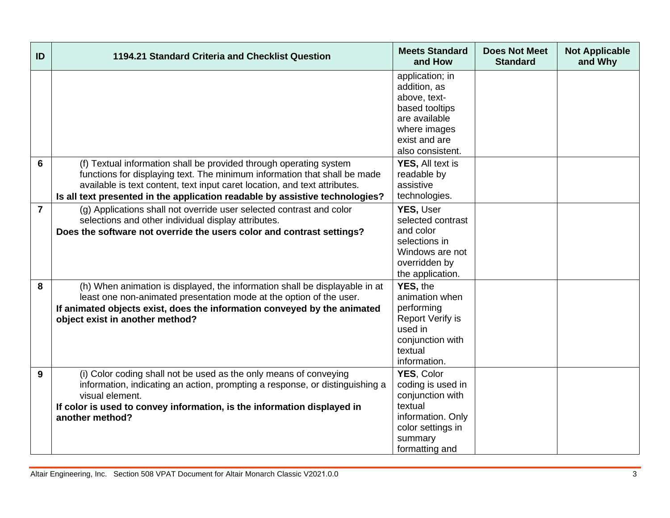| ID             | 1194.21 Standard Criteria and Checklist Question                                                                                                                                                                                                                                                              | <b>Meets Standard</b><br>and How                                                                                                        | <b>Does Not Meet</b><br><b>Standard</b> | <b>Not Applicable</b><br>and Why |
|----------------|---------------------------------------------------------------------------------------------------------------------------------------------------------------------------------------------------------------------------------------------------------------------------------------------------------------|-----------------------------------------------------------------------------------------------------------------------------------------|-----------------------------------------|----------------------------------|
|                |                                                                                                                                                                                                                                                                                                               | application; in<br>addition, as<br>above, text-<br>based tooltips<br>are available<br>where images<br>exist and are<br>also consistent. |                                         |                                  |
| 6              | (f) Textual information shall be provided through operating system<br>functions for displaying text. The minimum information that shall be made<br>available is text content, text input caret location, and text attributes.<br>Is all text presented in the application readable by assistive technologies? | <b>YES, All text is</b><br>readable by<br>assistive<br>technologies.                                                                    |                                         |                                  |
| $\overline{7}$ | (g) Applications shall not override user selected contrast and color<br>selections and other individual display attributes.<br>Does the software not override the users color and contrast settings?                                                                                                          | YES, User<br>selected contrast<br>and color<br>selections in<br>Windows are not<br>overridden by<br>the application.                    |                                         |                                  |
| 8              | (h) When animation is displayed, the information shall be displayable in at<br>least one non-animated presentation mode at the option of the user.<br>If animated objects exist, does the information conveyed by the animated<br>object exist in another method?                                             | YES, the<br>animation when<br>performing<br><b>Report Verify is</b><br>used in<br>conjunction with<br>textual<br>information.           |                                         |                                  |
| 9              | (i) Color coding shall not be used as the only means of conveying<br>information, indicating an action, prompting a response, or distinguishing a<br>visual element.<br>If color is used to convey information, is the information displayed in<br>another method?                                            | YES, Color<br>coding is used in<br>conjunction with<br>textual<br>information. Only<br>color settings in<br>summary<br>formatting and   |                                         |                                  |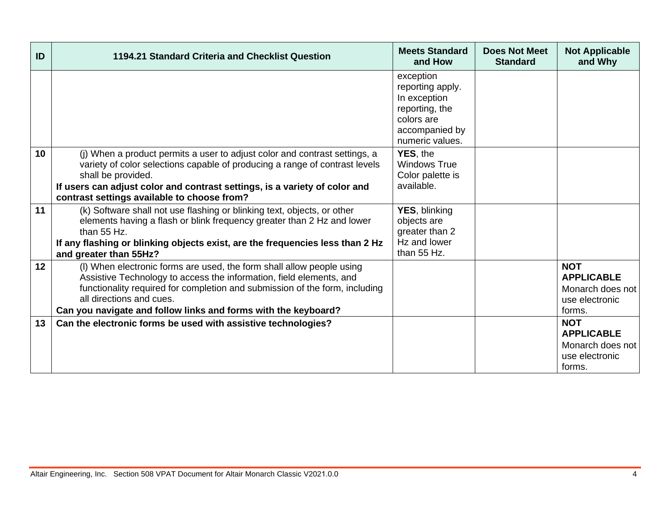| ID | 1194.21 Standard Criteria and Checklist Question                                                                                                                                                                                                                                                                          | <b>Meets Standard</b><br>and How                                                                                   | <b>Does Not Meet</b><br><b>Standard</b> | <b>Not Applicable</b><br>and Why                                                |
|----|---------------------------------------------------------------------------------------------------------------------------------------------------------------------------------------------------------------------------------------------------------------------------------------------------------------------------|--------------------------------------------------------------------------------------------------------------------|-----------------------------------------|---------------------------------------------------------------------------------|
|    |                                                                                                                                                                                                                                                                                                                           | exception<br>reporting apply.<br>In exception<br>reporting, the<br>colors are<br>accompanied by<br>numeric values. |                                         |                                                                                 |
| 10 | (j) When a product permits a user to adjust color and contrast settings, a<br>variety of color selections capable of producing a range of contrast levels<br>shall be provided.<br>If users can adjust color and contrast settings, is a variety of color and<br>contrast settings available to choose from?              | YES, the<br><b>Windows True</b><br>Color palette is<br>available.                                                  |                                         |                                                                                 |
| 11 | (k) Software shall not use flashing or blinking text, objects, or other<br>elements having a flash or blink frequency greater than 2 Hz and lower<br>than 55 Hz.<br>If any flashing or blinking objects exist, are the frequencies less than 2 Hz<br>and greater than 55Hz?                                               | YES, blinking<br>objects are<br>greater than 2<br>Hz and lower<br>than 55 Hz.                                      |                                         |                                                                                 |
| 12 | (I) When electronic forms are used, the form shall allow people using<br>Assistive Technology to access the information, field elements, and<br>functionality required for completion and submission of the form, including<br>all directions and cues.<br>Can you navigate and follow links and forms with the keyboard? |                                                                                                                    |                                         | <b>NOT</b><br><b>APPLICABLE</b><br>Monarch does not<br>use electronic<br>forms. |
| 13 | Can the electronic forms be used with assistive technologies?                                                                                                                                                                                                                                                             |                                                                                                                    |                                         | <b>NOT</b><br><b>APPLICABLE</b><br>Monarch does not<br>use electronic<br>forms. |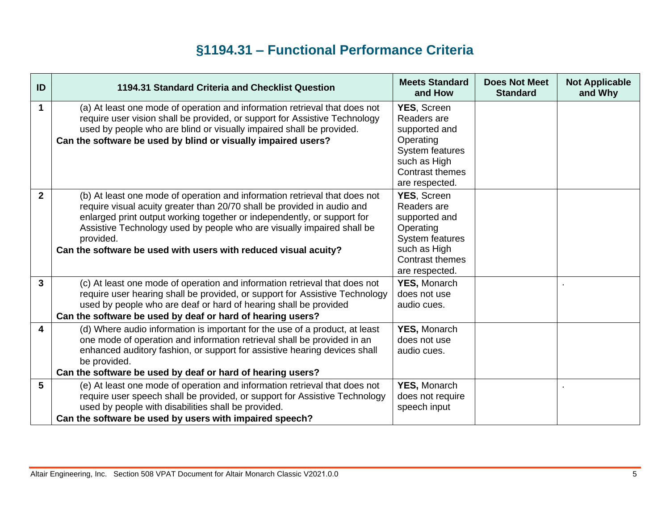## **§1194.31 – Functional Performance Criteria**

| ID           | 1194.31 Standard Criteria and Checklist Question                                                                                                                                                                                                                                                                                                                                           | <b>Meets Standard</b><br>and How                                                                                                                      | <b>Does Not Meet</b><br><b>Standard</b> | <b>Not Applicable</b><br>and Why |
|--------------|--------------------------------------------------------------------------------------------------------------------------------------------------------------------------------------------------------------------------------------------------------------------------------------------------------------------------------------------------------------------------------------------|-------------------------------------------------------------------------------------------------------------------------------------------------------|-----------------------------------------|----------------------------------|
| 1            | (a) At least one mode of operation and information retrieval that does not<br>require user vision shall be provided, or support for Assistive Technology<br>used by people who are blind or visually impaired shall be provided.<br>Can the software be used by blind or visually impaired users?                                                                                          | <b>YES, Screen</b><br>Readers are<br>supported and<br>Operating<br><b>System features</b><br>such as High<br><b>Contrast themes</b><br>are respected. |                                         |                                  |
| $\mathbf{2}$ | (b) At least one mode of operation and information retrieval that does not<br>require visual acuity greater than 20/70 shall be provided in audio and<br>enlarged print output working together or independently, or support for<br>Assistive Technology used by people who are visually impaired shall be<br>provided.<br>Can the software be used with users with reduced visual acuity? | <b>YES, Screen</b><br>Readers are<br>supported and<br>Operating<br><b>System features</b><br>such as High<br>Contrast themes<br>are respected.        |                                         |                                  |
| $\mathbf{3}$ | (c) At least one mode of operation and information retrieval that does not<br>require user hearing shall be provided, or support for Assistive Technology<br>used by people who are deaf or hard of hearing shall be provided<br>Can the software be used by deaf or hard of hearing users?                                                                                                | <b>YES, Monarch</b><br>does not use<br>audio cues.                                                                                                    |                                         |                                  |
| 4            | (d) Where audio information is important for the use of a product, at least<br>one mode of operation and information retrieval shall be provided in an<br>enhanced auditory fashion, or support for assistive hearing devices shall<br>be provided.<br>Can the software be used by deaf or hard of hearing users?                                                                          | <b>YES, Monarch</b><br>does not use<br>audio cues.                                                                                                    |                                         |                                  |
| 5            | (e) At least one mode of operation and information retrieval that does not                                                                                                                                                                                                                                                                                                                 | <b>YES, Monarch</b>                                                                                                                                   |                                         |                                  |
|              | require user speech shall be provided, or support for Assistive Technology<br>used by people with disabilities shall be provided.                                                                                                                                                                                                                                                          | does not require<br>speech input                                                                                                                      |                                         |                                  |
|              | Can the software be used by users with impaired speech?                                                                                                                                                                                                                                                                                                                                    |                                                                                                                                                       |                                         |                                  |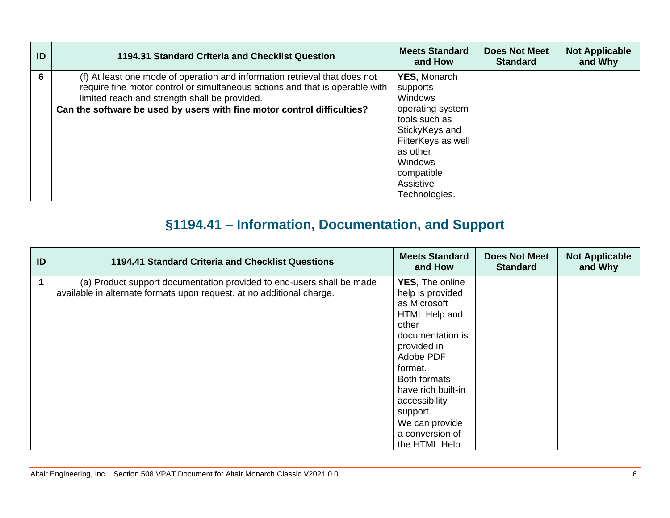| ID | 1194.31 Standard Criteria and Checklist Question                                                                                                                                                                                                                                       | <b>Meets Standard</b><br>and How                                                                                                                                                                  | <b>Does Not Meet</b><br><b>Standard</b> | <b>Not Applicable</b><br>and Why |
|----|----------------------------------------------------------------------------------------------------------------------------------------------------------------------------------------------------------------------------------------------------------------------------------------|---------------------------------------------------------------------------------------------------------------------------------------------------------------------------------------------------|-----------------------------------------|----------------------------------|
| 6  | (f) At least one mode of operation and information retrieval that does not<br>require fine motor control or simultaneous actions and that is operable with<br>limited reach and strength shall be provided.<br>Can the software be used by users with fine motor control difficulties? | <b>YES, Monarch</b><br>supports<br>Windows<br>operating system<br>tools such as<br>StickyKeys and<br>FilterKeys as well<br>as other<br><b>Windows</b><br>compatible<br>Assistive<br>Technologies. |                                         |                                  |

## **§1194.41 – Information, Documentation, and Support**

| ID | 1194.41 Standard Criteria and Checklist Questions                                                                                              | <b>Meets Standard</b><br>and How                                                                                                                                                                                                                                         | <b>Does Not Meet</b><br><b>Standard</b> | <b>Not Applicable</b><br>and Why |
|----|------------------------------------------------------------------------------------------------------------------------------------------------|--------------------------------------------------------------------------------------------------------------------------------------------------------------------------------------------------------------------------------------------------------------------------|-----------------------------------------|----------------------------------|
|    | (a) Product support documentation provided to end-users shall be made<br>available in alternate formats upon request, at no additional charge. | <b>YES, The online</b><br>help is provided<br>as Microsoft<br>HTML Help and<br>other<br>documentation is<br>provided in<br>Adobe PDF<br>format.<br>Both formats<br>have rich built-in<br>accessibility<br>support.<br>We can provide<br>a conversion of<br>the HTML Help |                                         |                                  |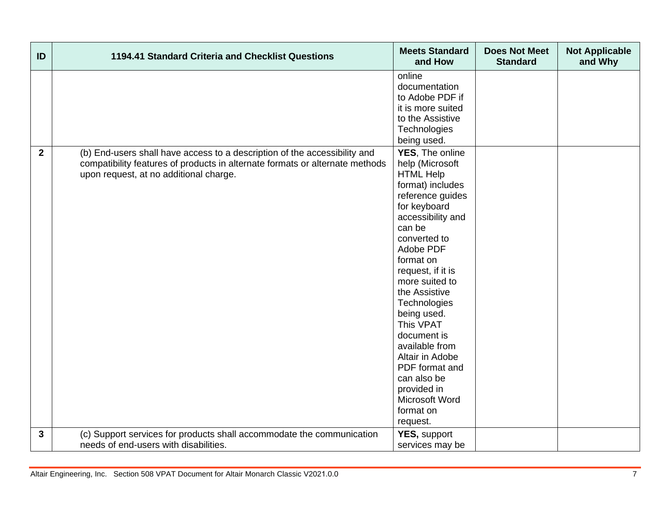| ID             | 1194.41 Standard Criteria and Checklist Questions                                                                                                                                                   | <b>Meets Standard</b><br>and How                                                                                                                                                                                                                                                                                                                                                                                                                          | <b>Does Not Meet</b><br><b>Standard</b> | <b>Not Applicable</b><br>and Why |
|----------------|-----------------------------------------------------------------------------------------------------------------------------------------------------------------------------------------------------|-----------------------------------------------------------------------------------------------------------------------------------------------------------------------------------------------------------------------------------------------------------------------------------------------------------------------------------------------------------------------------------------------------------------------------------------------------------|-----------------------------------------|----------------------------------|
|                |                                                                                                                                                                                                     | online<br>documentation<br>to Adobe PDF if<br>it is more suited<br>to the Assistive<br>Technologies                                                                                                                                                                                                                                                                                                                                                       |                                         |                                  |
| $\overline{2}$ | (b) End-users shall have access to a description of the accessibility and<br>compatibility features of products in alternate formats or alternate methods<br>upon request, at no additional charge. | being used.<br>YES, The online<br>help (Microsoft<br><b>HTML Help</b><br>format) includes<br>reference guides<br>for keyboard<br>accessibility and<br>can be<br>converted to<br>Adobe PDF<br>format on<br>request, if it is<br>more suited to<br>the Assistive<br>Technologies<br>being used.<br>This VPAT<br>document is<br>available from<br>Altair in Adobe<br>PDF format and<br>can also be<br>provided in<br>Microsoft Word<br>format on<br>request. |                                         |                                  |
| $\mathbf{3}$   | (c) Support services for products shall accommodate the communication<br>needs of end-users with disabilities.                                                                                      | YES, support<br>services may be                                                                                                                                                                                                                                                                                                                                                                                                                           |                                         |                                  |